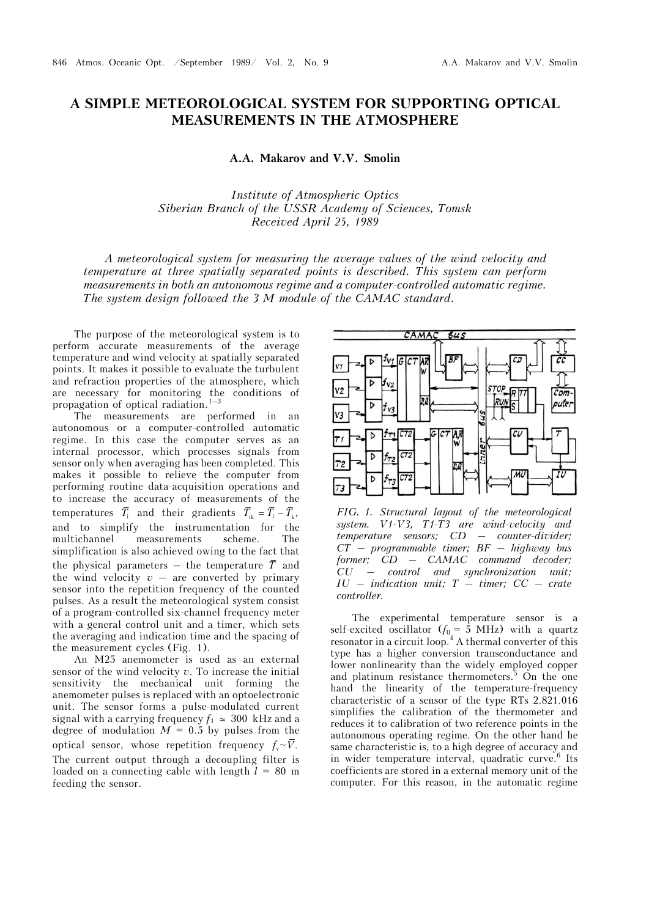## **A SIMPLE METEOROLOGICAL SYSTEM FOR SUPPORTING OPTICAL MEASUREMENTS IN THE ATMOSPHERE**

## **A.A. Makarov and V.V. Smolin**

*Institute of Atmospheric Optics Siberian Branch of the USSR Academy of Sciences, Tomsk Received April 25, 1989* 

*A meteorological system for measuring the average values of the wind velocity and temperature at three spatially separated points is described. This system can perform measurements in both an autonomous regime and a computer-controlled automatic regime. The system design followed the 3 M module of the CAMAC standard.* 

The purpose of the meteorological system is to perform accurate measurements of the average temperature and wind velocity at spatially separated points. It makes it possible to evaluate the turbulent and refraction properties of the atmosphere, which are necessary for monitoring the conditions of propagation of optical radiation. $1-3$ 

The measurements are performed in an autonomous or a computer-controlled automatic regime. In this case the computer serves as an internal processor, which processes signals from sensor only when averaging has been completed. This makes it possible to relieve the computer from performing routine data-acquisition operations and to increase the accuracy of measurements of the temperatures  $\overline{T}_i$  and their gradients  $\overline{T}_{ik} = \overline{T}_i - \overline{T}_k$ , and to simplify the instrumentation for the multichannel measurements scheme. The simplification is also achieved owing to the fact that the physical parameters – the temperature  $\overline{T}$  and the wind velocity  $v -$  are converted by primary sensor into the repetition frequency of the counted pulses. As a result the meteorological system consist of a program-controlled six-channel frequency meter with a general control unit and a timer, which sets the averaging and indication time and the spacing of the measurement cycles (Fig. 1).

An M25 anemometer is used as an external sensor of the wind velocity *v*. To increase the initial sensitivity the mechanical unit forming the anemometer pulses is replaced with an optoelectronic unit. The sensor forms a pulse-modulated current signal with a carrying frequency  $f_1 \approx 300$  kHz and a degree of modulation  $M = 0.5$  by pulses from the optical sensor, whose repetition frequency  $f_v \sim \overline{V}$ . The current output through a decoupling filter is loaded on a connecting cable with length  $l = 80$  m feeding the sensor.



*FIG. 1. Structural layout of the meteorological system. V1-V3, T1-T3 are wind-velocity and temperature sensors; CD – counter-divider; CT – programmable timer; BF – highway bus former; CD – CAMAC command decoder; CU – control and synchronization unit; IU – indication unit; T – timer; CC – crate controller.*

The experimental temperature sensor is a self-excited oscillator  $(f_0 = 5 \text{ MHz})$  with a quartz resonator in a circuit loop.<sup>4</sup> A thermal converter of this type has a higher conversion transconductance and lower nonlinearity than the widely employed copper and platinum resistance thermometers. $5$  On the one hand the linearity of the temperature-frequency characteristic of a sensor of the type RTs 2.821.016 simplifies the calibration of the thermometer and reduces it to calibration of two reference points in the autonomous operating regime. On the other hand he same characteristic is, to a high degree of accuracy and in wider temperature interval, quadratic curve.<sup>6</sup> Its coefficients are stored in a external memory unit of the computer. For this reason, in the automatic regime